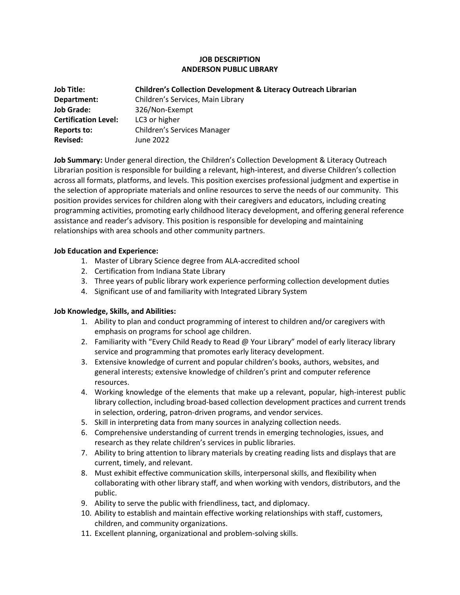# **JOB DESCRIPTION ANDERSON PUBLIC LIBRARY**

| <b>Job Title:</b>           | <b>Children's Collection Development &amp; Literacy Outreach Librarian</b> |
|-----------------------------|----------------------------------------------------------------------------|
| Department:                 | Children's Services, Main Library                                          |
| <b>Job Grade:</b>           | 326/Non-Exempt                                                             |
| <b>Certification Level:</b> | LC3 or higher                                                              |
| <b>Reports to:</b>          | Children's Services Manager                                                |
| <b>Revised:</b>             | June 2022                                                                  |

**Job Summary:** Under general direction, the Children's Collection Development & Literacy Outreach Librarian position is responsible for building a relevant, high-interest, and diverse Children's collection across all formats, platforms, and levels. This position exercises professional judgment and expertise in the selection of appropriate materials and online resources to serve the needs of our community. This position provides services for children along with their caregivers and educators, including creating programming activities, promoting early childhood literacy development, and offering general reference assistance and reader's advisory. This position is responsible for developing and maintaining relationships with area schools and other community partners.

### **Job Education and Experience:**

- 1. Master of Library Science degree from ALA-accredited school
- 2. Certification from Indiana State Library
- 3. Three years of public library work experience performing collection development duties
- 4. Significant use of and familiarity with Integrated Library System

## **Job Knowledge, Skills, and Abilities:**

- 1. Ability to plan and conduct programming of interest to children and/or caregivers with emphasis on programs for school age children.
- 2. Familiarity with "Every Child Ready to Read @ Your Library" model of early literacy library service and programming that promotes early literacy development.
- 3. Extensive knowledge of current and popular children's books, authors, websites, and general interests; extensive knowledge of children's print and computer reference resources.
- 4. Working knowledge of the elements that make up a relevant, popular, high-interest public library collection, including broad-based collection development practices and current trends in selection, ordering, patron-driven programs, and vendor services.
- 5. Skill in interpreting data from many sources in analyzing collection needs.
- 6. Comprehensive understanding of current trends in emerging technologies, issues, and research as they relate children's services in public libraries.
- 7. Ability to bring attention to library materials by creating reading lists and displays that are current, timely, and relevant.
- 8. Must exhibit effective communication skills, interpersonal skills, and flexibility when collaborating with other library staff, and when working with vendors, distributors, and the public.
- 9. Ability to serve the public with friendliness, tact, and diplomacy.
- 10. Ability to establish and maintain effective working relationships with staff, customers, children, and community organizations.
- 11. Excellent planning, organizational and problem-solving skills.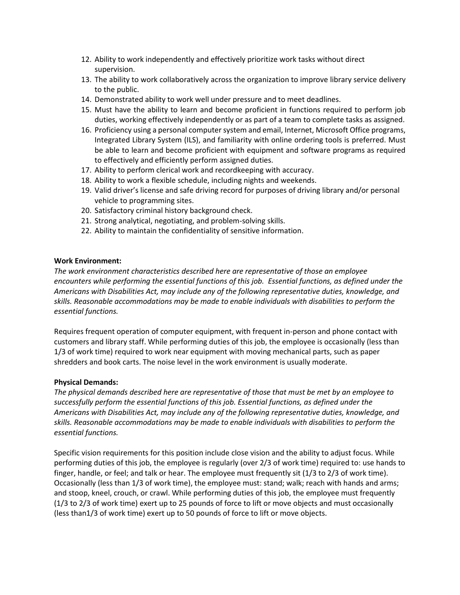- 12. Ability to work independently and effectively prioritize work tasks without direct supervision.
- 13. The ability to work collaboratively across the organization to improve library service delivery to the public.
- 14. Demonstrated ability to work well under pressure and to meet deadlines.
- 15. Must have the ability to learn and become proficient in functions required to perform job duties, working effectively independently or as part of a team to complete tasks as assigned.
- 16. Proficiency using a personal computer system and email, Internet, Microsoft Office programs, Integrated Library System (ILS), and familiarity with online ordering tools is preferred. Must be able to learn and become proficient with equipment and software programs as required to effectively and efficiently perform assigned duties.
- 17. Ability to perform clerical work and recordkeeping with accuracy.
- 18. Ability to work a flexible schedule, including nights and weekends.
- 19. Valid driver's license and safe driving record for purposes of driving library and/or personal vehicle to programming sites.
- 20. Satisfactory criminal history background check.
- 21. Strong analytical, negotiating, and problem-solving skills.
- 22. Ability to maintain the confidentiality of sensitive information.

### **Work Environment:**

*The work environment characteristics described here are representative of those an employee encounters while performing the essential functions of this job. Essential functions, as defined under the Americans with Disabilities Act, may include any of the following representative duties, knowledge, and skills. Reasonable accommodations may be made to enable individuals with disabilities to perform the essential functions.* 

Requires frequent operation of computer equipment, with frequent in-person and phone contact with customers and library staff. While performing duties of this job, the employee is occasionally (less than 1/3 of work time) required to work near equipment with moving mechanical parts, such as paper shredders and book carts. The noise level in the work environment is usually moderate.

## **Physical Demands:**

*The physical demands described here are representative of those that must be met by an employee to successfully perform the essential functions of this job. Essential functions, as defined under the Americans with Disabilities Act, may include any of the following representative duties, knowledge, and skills. Reasonable accommodations may be made to enable individuals with disabilities to perform the essential functions.* 

Specific vision requirements for this position include close vision and the ability to adjust focus. While performing duties of this job, the employee is regularly (over 2/3 of work time) required to: use hands to finger, handle, or feel; and talk or hear. The employee must frequently sit (1/3 to 2/3 of work time). Occasionally (less than 1/3 of work time), the employee must: stand; walk; reach with hands and arms; and stoop, kneel, crouch, or crawl. While performing duties of this job, the employee must frequently (1/3 to 2/3 of work time) exert up to 25 pounds of force to lift or move objects and must occasionally (less than1/3 of work time) exert up to 50 pounds of force to lift or move objects.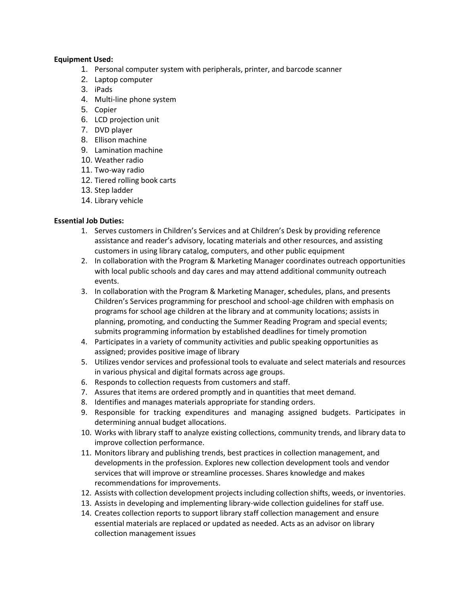## **Equipment Used:**

- 1. Personal computer system with peripherals, printer, and barcode scanner
- 2. Laptop computer
- 3. iPads
- 4. Multi-line phone system
- 5. Copier
- 6. LCD projection unit
- 7. DVD player
- 8. Ellison machine
- 9. Lamination machine
- 10. Weather radio
- 11. Two-way radio
- 12. Tiered rolling book carts
- 13. Step ladder
- 14. Library vehicle

# **Essential Job Duties:**

- 1. Serves customers in Children's Services and at Children's Desk by providing reference assistance and reader's advisory, locating materials and other resources, and assisting customers in using library catalog, computers, and other public equipment
- 2. In collaboration with the Program & Marketing Manager coordinates outreach opportunities with local public schools and day cares and may attend additional community outreach events.
- 3. In collaboration with the Program & Marketing Manager, **s**chedules, plans, and presents Children's Services programming for preschool and school-age children with emphasis on programs for school age children at the library and at community locations; assists in planning, promoting, and conducting the Summer Reading Program and special events; submits programming information by established deadlines for timely promotion
- 4. Participates in a variety of community activities and public speaking opportunities as assigned; provides positive image of library
- 5. Utilizes vendor services and professional tools to evaluate and select materials and resources in various physical and digital formats across age groups.
- 6. Responds to collection requests from customers and staff.
- 7. Assures that items are ordered promptly and in quantities that meet demand.
- 8. Identifies and manages materials appropriate for standing orders.
- 9. Responsible for tracking expenditures and managing assigned budgets. Participates in determining annual budget allocations.
- 10. Works with library staff to analyze existing collections, community trends, and library data to improve collection performance.
- 11. Monitors library and publishing trends, best practices in collection management, and developments in the profession. Explores new collection development tools and vendor services that will improve or streamline processes. Shares knowledge and makes recommendations for improvements.
- 12. Assists with collection development projects including collection shifts, weeds, or inventories.
- 13. Assists in developing and implementing library-wide collection guidelines for staff use.
- 14. Creates collection reports to support library staff collection management and ensure essential materials are replaced or updated as needed. Acts as an advisor on library collection management issues